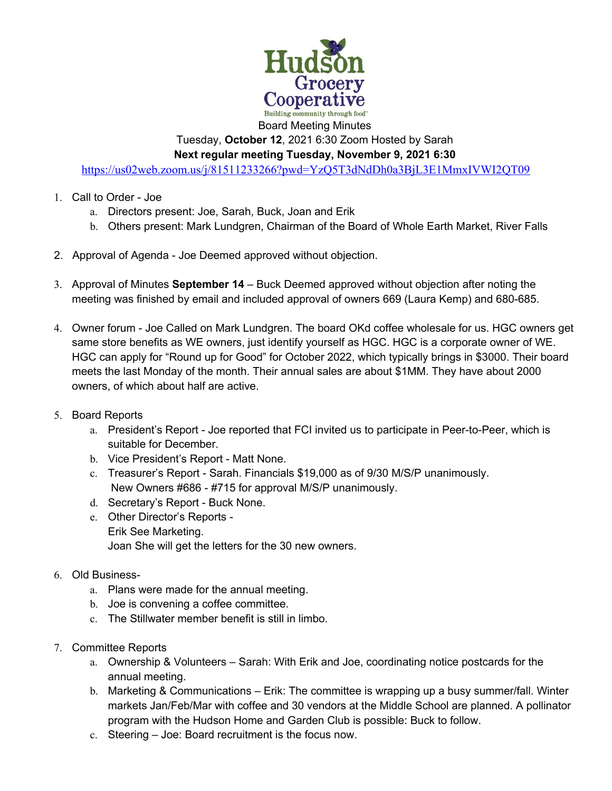

Tuesday, **October 12**, 2021 6:30 Zoom Hosted by Sarah **Next regular meeting Tuesday, November 9, 2021 6:30** 

https://us02web.zoom.us/j/81511233266?pwd=YzQ5T3dNdDh0a3BjL3E1MmxIVWI2QT09

- 1. Call to Order Joe
	- a. Directors present: Joe, Sarah, Buck, Joan and Erik
	- b. Others present: Mark Lundgren, Chairman of the Board of Whole Earth Market, River Falls
- 2. Approval of Agenda Joe Deemed approved without objection.
- 3. Approval of Minutes **September 14** Buck Deemed approved without objection after noting the meeting was finished by email and included approval of owners 669 (Laura Kemp) and 680-685.
- 4. Owner forum Joe Called on Mark Lundgren. The board OKd coffee wholesale for us. HGC owners get same store benefits as WE owners, just identify yourself as HGC. HGC is a corporate owner of WE. HGC can apply for "Round up for Good" for October 2022, which typically brings in \$3000. Their board meets the last Monday of the month. Their annual sales are about \$1MM. They have about 2000 owners, of which about half are active.
- 5. Board Reports
	- a. President's Report Joe reported that FCI invited us to participate in Peer-to-Peer, which is suitable for December.
	- b. Vice President's Report Matt None.
	- c. Treasurer's Report Sarah. Financials \$19,000 as of 9/30 M/S/P unanimously. New Owners #686 - #715 for approval M/S/P unanimously.
	- d. Secretary's Report Buck None.
	- e. Other Director's Reports Erik See Marketing. Joan She will get the letters for the 30 new owners.
- 6. Old Business
	- a. Plans were made for the annual meeting.
	- b. Joe is convening a coffee committee.
	- c. The Stillwater member benefit is still in limbo.
- 7. Committee Reports
	- a. Ownership & Volunteers Sarah: With Erik and Joe, coordinating notice postcards for the annual meeting.
	- b. Marketing & Communications Erik: The committee is wrapping up a busy summer/fall. Winter markets Jan/Feb/Mar with coffee and 30 vendors at the Middle School are planned. A pollinator program with the Hudson Home and Garden Club is possible: Buck to follow.
	- c. Steering Joe: Board recruitment is the focus now.